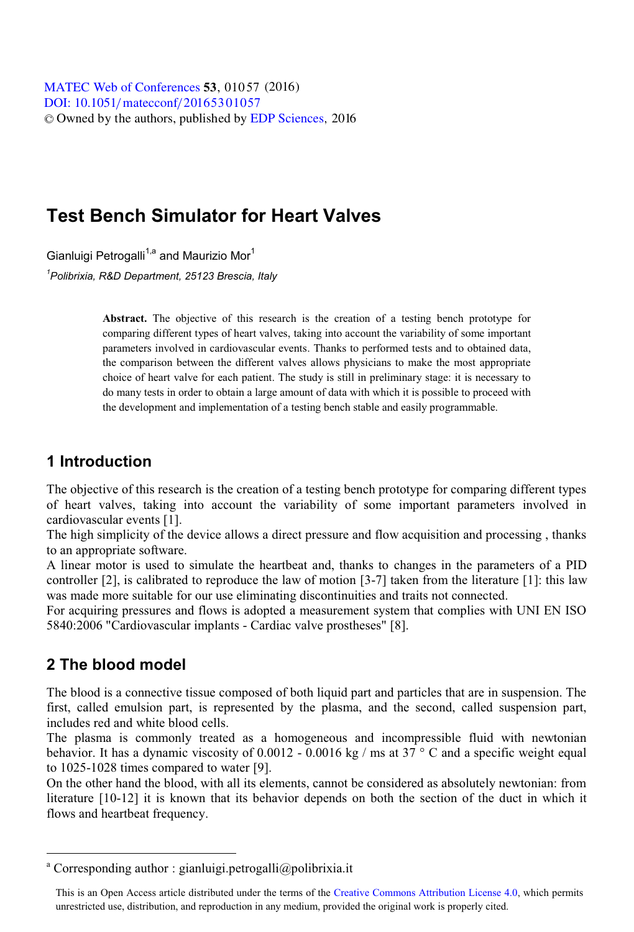**DOI:** 10.1051/ mateconf/20165301057 © Owned by the authors, published by [EDP Sciences](http://www.edpsciences.org), 2016 MATEC [Web of Conferences](http://www.matec-conferences.org) **53**, 01057 (2016)<br>DOU: 10 1051/matecconf/20165301057

# **Test Bench Simulator for Heart Valves**

Gianluigi Petrogalli<sup>1,a</sup> and Maurizio Mor<sup>1</sup>

*1 Polibrixia, R&D Department, 25123 Brescia, Italy* 

**Abstract.** The objective of this research is the creation of a testing bench prototype for comparing different types of heart valves, taking into account the variability of some important parameters involved in cardiovascular events. Thanks to performed tests and to obtained data, the comparison between the different valves allows physicians to make the most appropriate choice of heart valve for each patient. The study is still in preliminary stage: it is necessary to do many tests in order to obtain a large amount of data with which it is possible to proceed with the development and implementation of a testing bench stable and easily programmable.

#### **1 Introduction**

The objective of this research is the creation of a testing bench prototype for comparing different types of heart valves, taking into account the variability of some important parameters involved in cardiovascular events [1].

The high simplicity of the device allows a direct pressure and flow acquisition and processing , thanks to an appropriate software.

A linear motor is used to simulate the heartbeat and, thanks to changes in the parameters of a PID controller [2], is calibrated to reproduce the law of motion [3-7] taken from the literature [1]: this law was made more suitable for our use eliminating discontinuities and traits not connected.

For acquiring pressures and flows is adopted a measurement system that complies with UNI EN ISO 5840:2006 "Cardiovascular implants - Cardiac valve prostheses" [8].

#### **2 The blood model**

 $\overline{a}$ 

The blood is a connective tissue composed of both liquid part and particles that are in suspension. The first, called emulsion part, is represented by the plasma, and the second, called suspension part, includes red and white blood cells.

The plasma is commonly treated as a homogeneous and incompressible fluid with newtonian behavior. It has a dynamic viscosity of 0.0012 - 0.0016 kg / ms at  $37^{\circ}$  C and a specific weight equal to 1025-1028 times compared to water [9].

On the other hand the blood, with all its elements, cannot be considered as absolutely newtonian: from literature [10-12] it is known that its behavior depends on both the section of the duct in which it flows and heartbeat frequency.

<sup>&</sup>lt;sup>a</sup> Corresponding author : gianluigi.petrogalli@polibrixia.it

This is an Open Access article distributed under the terms of the Creative Commons Attribution License 4.0, which permits unrestricted use, distribution, and reproduction in any medium, provided the original work is properly cited.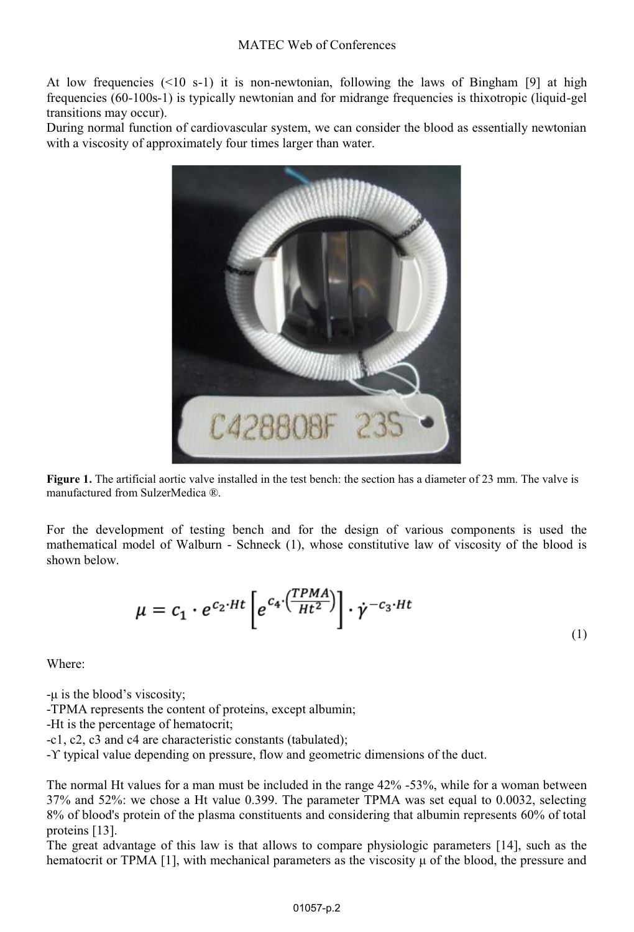At low frequencies  $(\leq 10 \text{ s-1})$  it is non-newtonian, following the laws of Bingham [9] at high frequencies (60-100s-1) is typically newtonian and for midrange frequencies is thixotropic (liquid-gel transitions may occur).

During normal function of cardiovascular system, we can consider the blood as essentially newtonian with a viscosity of approximately four times larger than water.



**Figure 1.** The artificial aortic valve installed in the test bench: the section has a diameter of 23 mm. The valve is manufactured from SulzerMedica ®.

For the development of testing bench and for the design of various components is used the mathematical model of Walburn - Schneck (1), whose constitutive law of viscosity of the blood is shown below.

$$
\mu = c_1 \cdot e^{c_2 \cdot Ht} \left[ e^{c_4 \cdot \left(\frac{TPMA}{Ht^2}\right)} \right] \cdot \dot{\gamma}^{-c_3 \cdot Ht}
$$
\n(1)

Where:

-μ is the blood's viscosity;

-TPMA represents the content of proteins, except albumin;

-Ht is the percentage of hematocrit;

-c1, c2, c3 and c4 are characteristic constants (tabulated);

-ϒ typical value depending on pressure, flow and geometric dimensions of the duct.

The normal Ht values for a man must be included in the range 42% -53%, while for a woman between 37% and 52%: we chose a Ht value 0.399. The parameter TPMA was set equal to 0.0032, selecting 8% of blood's protein of the plasma constituents and considering that albumin represents 60% of total proteins [13].

The great advantage of this law is that allows to compare physiologic parameters [14], such as the hematocrit or TPMA [1], with mechanical parameters as the viscosity μ of the blood, the pressure and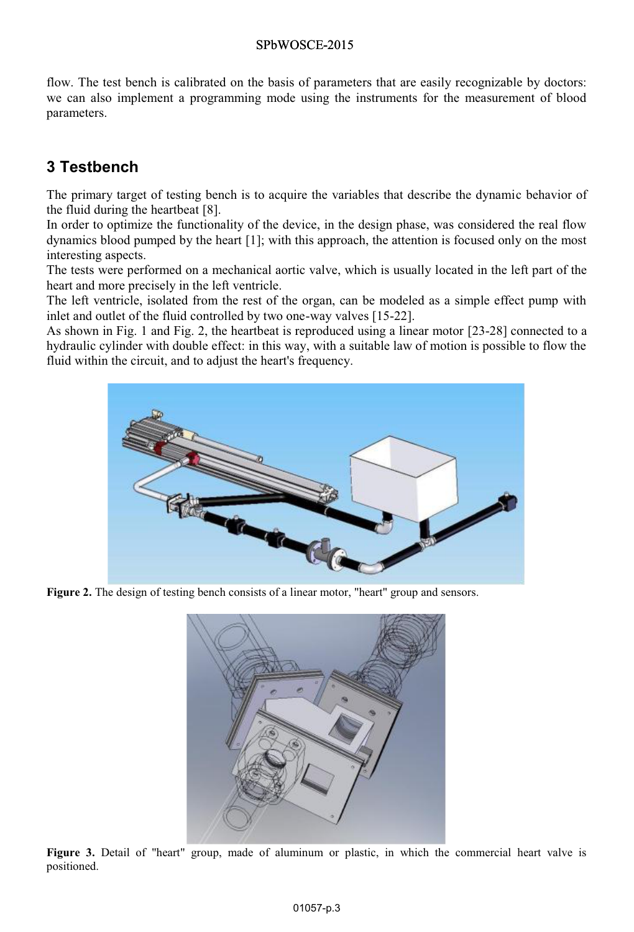#### SPbWOSCE-2015

flow. The test bench is calibrated on the basis of parameters that are easily recognizable by doctors: we can also implement a programming mode using the instruments for the measurement of blood parameters.

## **3 Testbench**

The primary target of testing bench is to acquire the variables that describe the dynamic behavior of the fluid during the heartbeat [8].

In order to optimize the functionality of the device, in the design phase, was considered the real flow dynamics blood pumped by the heart [1]; with this approach, the attention is focused only on the most interesting aspects.

The tests were performed on a mechanical aortic valve, which is usually located in the left part of the heart and more precisely in the left ventricle.

The left ventricle, isolated from the rest of the organ, can be modeled as a simple effect pump with inlet and outlet of the fluid controlled by two one-way valves [15-22].

As shown in Fig. 1 and Fig. 2, the heartbeat is reproduced using a linear motor [23-28] connected to a hydraulic cylinder with double effect: in this way, with a suitable law of motion is possible to flow the fluid within the circuit, and to adjust the heart's frequency.



Figure 2. The design of testing bench consists of a linear motor, "heart" group and sensors.



**Figure 3.** Detail of "heart" group, made of aluminum or plastic, in which the commercial heart valve is positioned.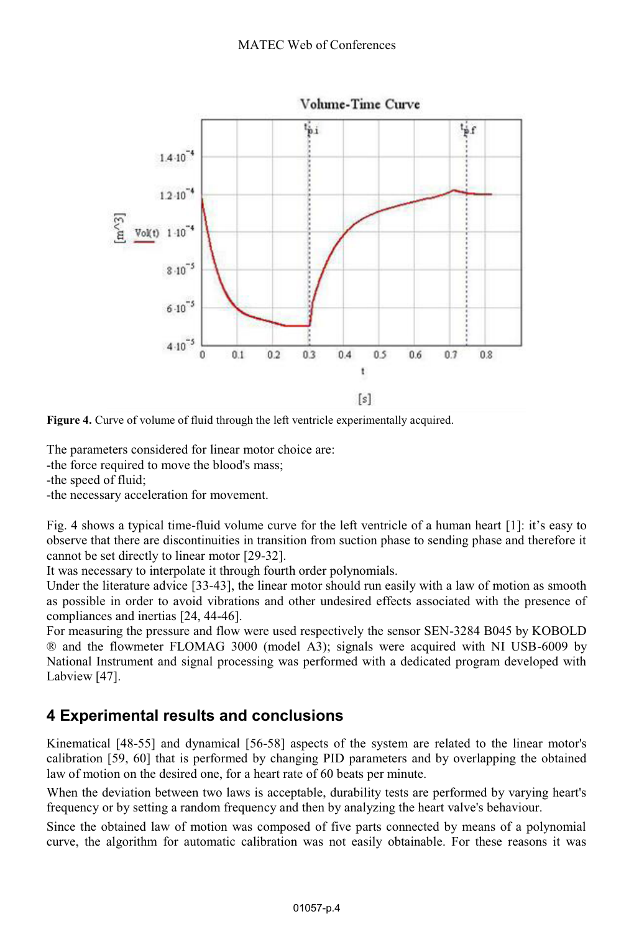

**Figure 4.** Curve of volume of fluid through the left ventricle experimentally acquired.

The parameters considered for linear motor choice are:

-the force required to move the blood's mass;

-the speed of fluid;

-the necessary acceleration for movement.

Fig. 4 shows a typical time-fluid volume curve for the left ventricle of a human heart [1]: it's easy to observe that there are discontinuities in transition from suction phase to sending phase and therefore it cannot be set directly to linear motor [29-32].

It was necessary to interpolate it through fourth order polynomials.

Under the literature advice [33-43], the linear motor should run easily with a law of motion as smooth as possible in order to avoid vibrations and other undesired effects associated with the presence of compliances and inertias [24, 44-46].

For measuring the pressure and flow were used respectively the sensor SEN-3284 B045 by KOBOLD ® and the flowmeter FLOMAG 3000 (model A3); signals were acquired with NI USB-6009 by National Instrument and signal processing was performed with a dedicated program developed with Labview [47].

## **4 Experimental results and conclusions**

Kinematical [48-55] and dynamical [56-58] aspects of the system are related to the linear motor's calibration [59, 60] that is performed by changing PID parameters and by overlapping the obtained law of motion on the desired one, for a heart rate of 60 beats per minute.

When the deviation between two laws is acceptable, durability tests are performed by varying heart's frequency or by setting a random frequency and then by analyzing the heart valve's behaviour.

Since the obtained law of motion was composed of five parts connected by means of a polynomial curve, the algorithm for automatic calibration was not easily obtainable. For these reasons it was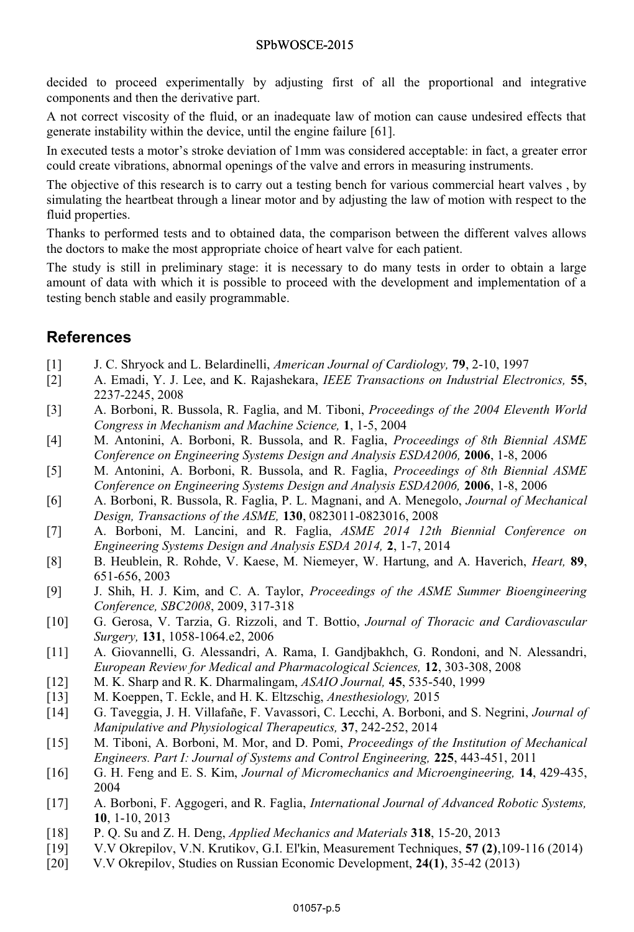#### SPbWOSCE-2015

decided to proceed experimentally by adjusting first of all the proportional and integrative components and then the derivative part.

A not correct viscosity of the fluid, or an inadequate law of motion can cause undesired effects that generate instability within the device, until the engine failure [61].

In executed tests a motor's stroke deviation of 1mm was considered acceptable: in fact, a greater error could create vibrations, abnormal openings of the valve and errors in measuring instruments.

The objective of this research is to carry out a testing bench for various commercial heart valves , by simulating the heartbeat through a linear motor and by adjusting the law of motion with respect to the fluid properties.

Thanks to performed tests and to obtained data, the comparison between the different valves allows the doctors to make the most appropriate choice of heart valve for each patient.

The study is still in preliminary stage: it is necessary to do many tests in order to obtain a large amount of data with which it is possible to proceed with the development and implementation of a testing bench stable and easily programmable.

### **References**

- [1] J. C. Shryock and L. Belardinelli, *American Journal of Cardiology,* **79**, 2-10, 1997
- [2] A. Emadi, Y. J. Lee, and K. Rajashekara, *IEEE Transactions on Industrial Electronics,* **55**, 2237-2245, 2008
- [3] A. Borboni, R. Bussola, R. Faglia, and M. Tiboni, *Proceedings of the 2004 Eleventh World Congress in Mechanism and Machine Science,* **1**, 1-5, 2004
- [4] M. Antonini, A. Borboni, R. Bussola, and R. Faglia, *Proceedings of 8th Biennial ASME Conference on Engineering Systems Design and Analysis ESDA2006,* **2006**, 1-8, 2006
- [5] M. Antonini, A. Borboni, R. Bussola, and R. Faglia, *Proceedings of 8th Biennial ASME Conference on Engineering Systems Design and Analysis ESDA2006,* **2006**, 1-8, 2006
- [6] A. Borboni, R. Bussola, R. Faglia, P. L. Magnani, and A. Menegolo, *Journal of Mechanical Design, Transactions of the ASME,* **130**, 0823011-0823016, 2008
- [7] A. Borboni, M. Lancini, and R. Faglia, *ASME 2014 12th Biennial Conference on Engineering Systems Design and Analysis ESDA 2014,* **2**, 1-7, 2014
- [8] B. Heublein, R. Rohde, V. Kaese, M. Niemeyer, W. Hartung, and A. Haverich, *Heart,* **89**, 651-656, 2003
- [9] J. Shih, H. J. Kim, and C. A. Taylor, *Proceedings of the ASME Summer Bioengineering Conference, SBC2008*, 2009, 317-318
- [10] G. Gerosa, V. Tarzia, G. Rizzoli, and T. Bottio, *Journal of Thoracic and Cardiovascular Surgery,* **131**, 1058-1064.e2, 2006
- [11] A. Giovannelli, G. Alessandri, A. Rama, I. Gandjbakhch, G. Rondoni, and N. Alessandri, *European Review for Medical and Pharmacological Sciences,* **12**, 303-308, 2008
- [12] M. K. Sharp and R. K. Dharmalingam, *ASAIO Journal,* **45**, 535-540, 1999
- [13] M. Koeppen, T. Eckle, and H. K. Eltzschig, *Anesthesiology,* 2015
- [14] G. Taveggia, J. H. Villafañe, F. Vavassori, C. Lecchi, A. Borboni, and S. Negrini, *Journal of Manipulative and Physiological Therapeutics,* **37**, 242-252, 2014
- [15] M. Tiboni, A. Borboni, M. Mor, and D. Pomi, *Proceedings of the Institution of Mechanical Engineers. Part I: Journal of Systems and Control Engineering,* **225**, 443-451, 2011
- [16] G. H. Feng and E. S. Kim, *Journal of Micromechanics and Microengineering,* **14**, 429-435, 2004
- [17] A. Borboni, F. Aggogeri, and R. Faglia, *International Journal of Advanced Robotic Systems,*  **10**, 1-10, 2013
- [18] P. Q. Su and Z. H. Deng, *Applied Mechanics and Materials* **318**, 15-20, 2013
- [19] V.V Okrepilov, V.N. Krutikov, G.I. El'kin, Measurement Techniques, **57 (2)**,109-116 (2014)
- [20] V.V Okrepilov, Studies on Russian Economic Development, **24(1)**, 35-42 (2013)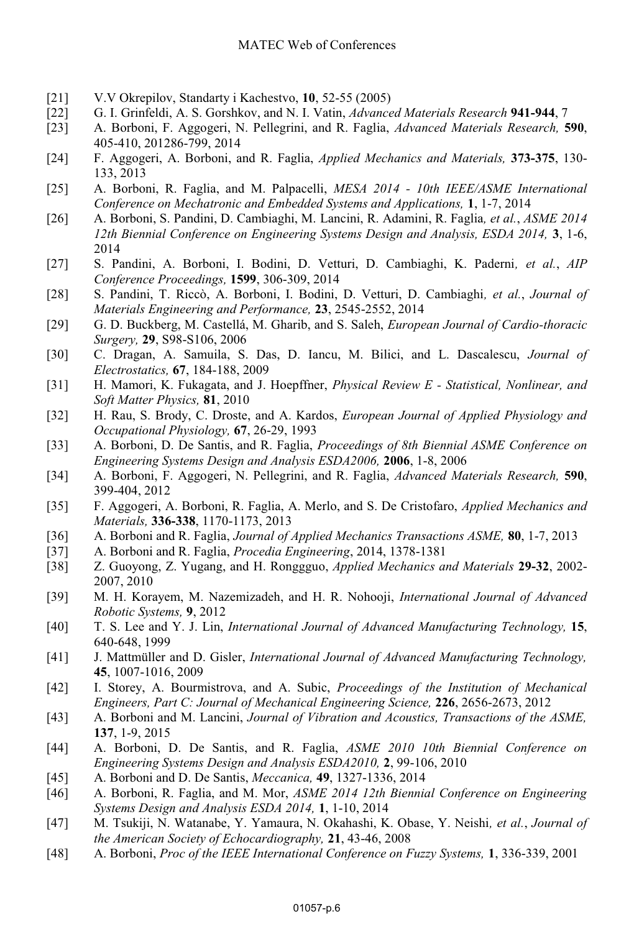- [21] V.V Okrepilov, Standarty i Kachestvo, **10**, 52-55 (2005)
- [22] G. I. Grinfeldi, A. S. Gorshkov, and N. I. Vatin, *Advanced Materials Research* **941-944**, 7
- [23] A. Borboni, F. Aggogeri, N. Pellegrini, and R. Faglia, *Advanced Materials Research,* **590**, 405-410, 201286-799, 2014
- [24] F. Aggogeri, A. Borboni, and R. Faglia, *Applied Mechanics and Materials,* **373-375**, 130- 133, 2013
- [25] A. Borboni, R. Faglia, and M. Palpacelli, *MESA 2014 10th IEEE/ASME International Conference on Mechatronic and Embedded Systems and Applications,* **1**, 1-7, 2014
- [26] A. Borboni, S. Pandini, D. Cambiaghi, M. Lancini, R. Adamini, R. Faglia*, et al.*, *ASME 2014 12th Biennial Conference on Engineering Systems Design and Analysis, ESDA 2014,* **3**, 1-6, 2014
- [27] S. Pandini, A. Borboni, I. Bodini, D. Vetturi, D. Cambiaghi, K. Paderni*, et al.*, *AIP Conference Proceedings,* **1599**, 306-309, 2014
- [28] S. Pandini, T. Riccò, A. Borboni, I. Bodini, D. Vetturi, D. Cambiaghi*, et al.*, *Journal of Materials Engineering and Performance,* **23**, 2545-2552, 2014
- [29] G. D. Buckberg, M. Castellá, M. Gharib, and S. Saleh, *European Journal of Cardio-thoracic*
- *Surgery,* **29**, S98-S106, 2006 [30] C. Dragan, A. Samuila, S. Das, D. Iancu, M. Bilici, and L. Dascalescu, *Journal of Electrostatics,* **67**, 184-188, 2009
- [31] H. Mamori, K. Fukagata, and J. Hoepffner, *Physical Review E Statistical, Nonlinear, and*
- *Soft Matter Physics,* **81**, 2010 [32] H. Rau, S. Brody, C. Droste, and A. Kardos, *European Journal of Applied Physiology and Occupational Physiology,* **67**, 26-29, 1993
- [33] A. Borboni, D. De Santis, and R. Faglia, *Proceedings of 8th Biennial ASME Conference on Engineering Systems Design and Analysis ESDA2006,* **2006**, 1-8, 2006
- [34] A. Borboni, F. Aggogeri, N. Pellegrini, and R. Faglia, *Advanced Materials Research,* **590**, 399-404, 2012
- [35] F. Aggogeri, A. Borboni, R. Faglia, A. Merlo, and S. De Cristofaro, *Applied Mechanics and Materials,* **336-338**, 1170-1173, 2013
- [36] A. Borboni and R. Faglia, *Journal of Applied Mechanics Transactions ASME,* **80**, 1-7, 2013
- [37] A. Borboni and R. Faglia, *Procedia Engineering*, 2014, 1378-1381
- [38] Z. Guoyong, Z. Yugang, and H. Ronggguo, *Applied Mechanics and Materials* **29-32**, 2002- 2007, 2010
- [39] M. H. Korayem, M. Nazemizadeh, and H. R. Nohooji, *International Journal of Advanced Robotic Systems,* **9**, 2012
- [40] T. S. Lee and Y. J. Lin, *International Journal of Advanced Manufacturing Technology,* **15**, 640-648, 1999
- [41] J. Mattmüller and D. Gisler, *International Journal of Advanced Manufacturing Technology,*  **45**, 1007-1016, 2009
- [42] I. Storey, A. Bourmistrova, and A. Subic, *Proceedings of the Institution of Mechanical Engineers, Part C: Journal of Mechanical Engineering Science,* **226**, 2656-2673, 2012
- [43] A. Borboni and M. Lancini, *Journal of Vibration and Acoustics, Transactions of the ASME,*  **137**, 1-9, 2015 [44] A. Borboni, D. De Santis, and R. Faglia, *ASME 2010 10th Biennial Conference on*
- *Engineering Systems Design and Analysis ESDA2010,* **2**, 99-106, 2010
- [45] A. Borboni and D. De Santis, *Meccanica,* **49**, 1327-1336, 2014
- [46] A. Borboni, R. Faglia, and M. Mor, *ASME 2014 12th Biennial Conference on Engineering Systems Design and Analysis ESDA 2014,* **1**, 1-10, 2014
- [47] M. Tsukiji, N. Watanabe, Y. Yamaura, N. Okahashi, K. Obase, Y. Neishi*, et al.*, *Journal of the American Society of Echocardiography,* **21**, 43-46, 2008
- [48] A. Borboni, *Proc of the IEEE International Conference on Fuzzy Systems,* **1**, 336-339, 2001